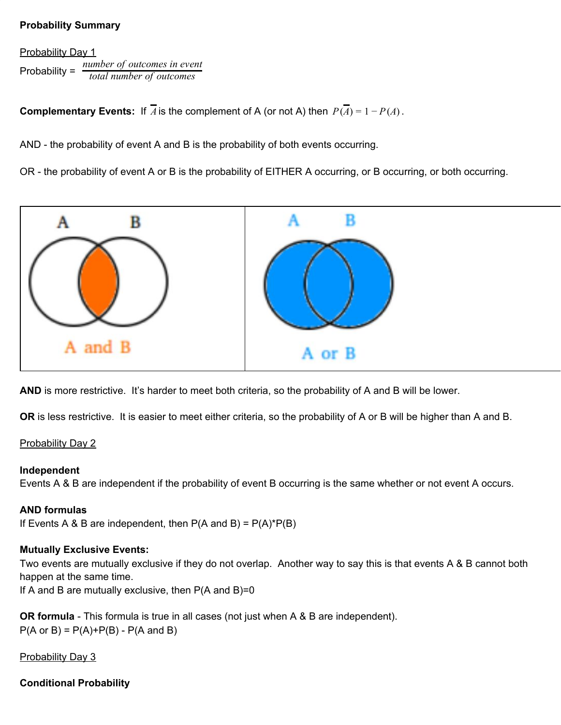## **Probability Summary**

Probability Day 1 Probability = *total number of outcomes number of outcomes in event*

**Complementary Events:** If  $\overline{A}$  is the complement of A (or not A) then  $P(\overline{A}) = 1 - P(A)$ .

AND - the probability of event A and B is the probability of both events occurring.

OR - the probability of event A or B is the probability of EITHER A occurring, or B occurring, or both occurring.



AND is more restrictive. It's harder to meet both criteria, so the probability of A and B will be lower.

**OR** is less restrictive. It is easier to meet either criteria, so the probability of A or B will be higher than A and B.

#### Probability Day 2

#### **Independent**

Events A & B are independent if the probability of event B occurring is the same whether or not event A occurs.

#### **AND formulas**

If Events A & B are independent, then  $P(A \text{ and } B) = P(A)^*P(B)$ 

#### **Mutually Exclusive Events:**

Two events are mutually exclusive if they do not overlap. Another way to say this is that events A & B cannot both happen at the same time.

If A and B are mutually exclusive, then  $P(A \text{ and } B)=0$ 

**OR formula** - This formula is true in all cases (not just when A & B are independent).  $P(A \text{ or } B) = P(A) + P(B) - P(A \text{ and } B)$ 

**Probability Day 3** 

**Conditional Probability**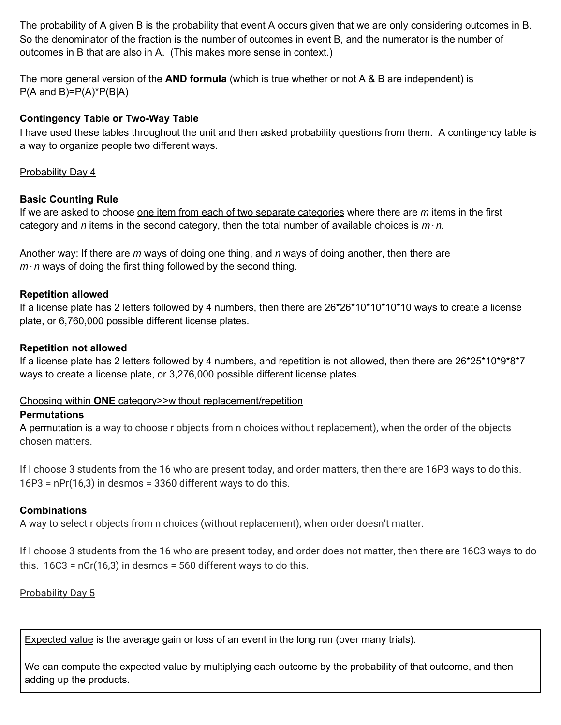The probability of A given B is the probability that event A occurs given that we are only considering outcomes in B. So the denominator of the fraction is the number of outcomes in event B, and the numerator is the number of outcomes in B that are also in A. (This makes more sense in context.)

The more general version of the **AND formula** (which is true whether or not A & B are independent) is  $P(A \text{ and } B)=P(A)^*P(B|A)$ 

### **Contingency Table or Two-Way Table**

I have used these tables throughout the unit and then asked probability questions from them. A contingency table is a way to organize people two different ways.

### Probability Day 4

#### **Basic Counting Rule**

If we are asked to choose one item from each of two separate categories where there are *m* items in the first category and *n* items in the second category, then the total number of available choices is  $m \cdot n$ .

Another way: If there are *m* ways of doing one thing, and *n* ways of doing another, then there are  $m \cdot n$  ways of doing the first thing followed by the second thing.

#### **Repetition allowed**

If a license plate has 2 letters followed by 4 numbers, then there are 26\*26\*10\*10\*10\*10 ways to create a license plate, or 6,760,000 possible different license plates.

#### **Repetition not allowed**

If a license plate has 2 letters followed by 4 numbers, and repetition is not allowed, then there are 26\*25\*10\*9\*8\*7 ways to create a license plate, or 3,276,000 possible different license plates.

#### Choosing within **ONE** category>>without replacement/repetition

#### **Permutations**

A permutation is a way to choose r objects from n choices without replacement), when the order of the objects chosen matters.

If I choose 3 students from the 16 who are present today, and order matters, then there are 16P3 ways to do this.  $16P3$  = nPr(16,3) in desmos = 3360 different ways to do this.

#### **Combinations**

A way to select r objects from n choices (without replacement), when order doesn't matter.

If I choose 3 students from the 16 who are present today, and order does not matter, then there are 16C3 ways to do this.  $16C3 = nCr(16,3)$  in desmos = 560 different ways to do this.

# Probability Day 5

Expected value is the average gain or loss of an event in the long run (over many trials).

We can compute the expected value by multiplying each outcome by the probability of that outcome, and then adding up the products.